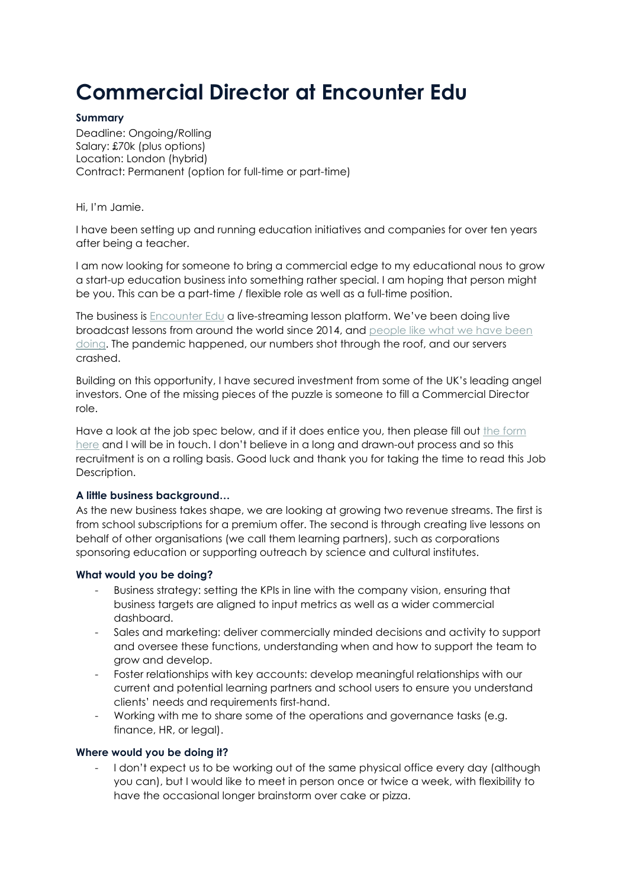# **Commercial Director at Encounter Edu**

## **Summary**

Deadline: Ongoing/Rolling Salary: £70k (plus options) Location: London (hybrid) Contract: Permanent (option for full-time or part-time)

Hi, I'm Jamie.

I have been setting up and running education initiatives and companies for over ten years after being a teacher.

I am now looking for someone to bring a commercial edge to my educational nous to grow a start-up education business into something rather special. I am hoping that person might be you. This can be a part-time / flexible role as well as a full-time position.

The business is [Encounter Edu](https://encounteredu.com/) a live-streaming lesson platform. We've been doing live broadcast lessons from around the world since 2014, and [people like what we have been](https://encounteredu.com/news/collections/awards)  [doing.](https://encounteredu.com/news/collections/awards) The pandemic happened, our numbers shot through the roof, and our servers crashed.

Building on this opportunity, I have secured investment from some of the UK's leading angel investors. One of the missing pieces of the puzzle is someone to fill a Commercial Director role.

Have a look at the job spec below, and if it does entice you, then please fill out the form [here](https://forms.gle/MQyMuckBwCfygyk96) and I will be in touch. I don't believe in a long and drawn-out process and so this recruitment is on a rolling basis. Good luck and thank you for taking the time to read this Job Description.

# **A little business background…**

As the new business takes shape, we are looking at growing two revenue streams. The first is from school subscriptions for a premium offer. The second is through creating live lessons on behalf of other organisations (we call them learning partners), such as corporations sponsoring education or supporting outreach by science and cultural institutes.

#### **What would you be doing?**

- Business strategy: setting the KPIs in line with the company vision, ensuring that business targets are aligned to input metrics as well as a wider commercial dashboard.
- Sales and marketing: deliver commercially minded decisions and activity to support and oversee these functions, understanding when and how to support the team to grow and develop.
- Foster relationships with key accounts: develop meaningful relationships with our current and potential learning partners and school users to ensure you understand clients' needs and requirements first-hand.
- Working with me to share some of the operations and governance tasks (e.g. finance, HR, or legal).

# **Where would you be doing it?**

I don't expect us to be working out of the same physical office every day (although you can), but I would like to meet in person once or twice a week, with flexibility to have the occasional longer brainstorm over cake or pizza.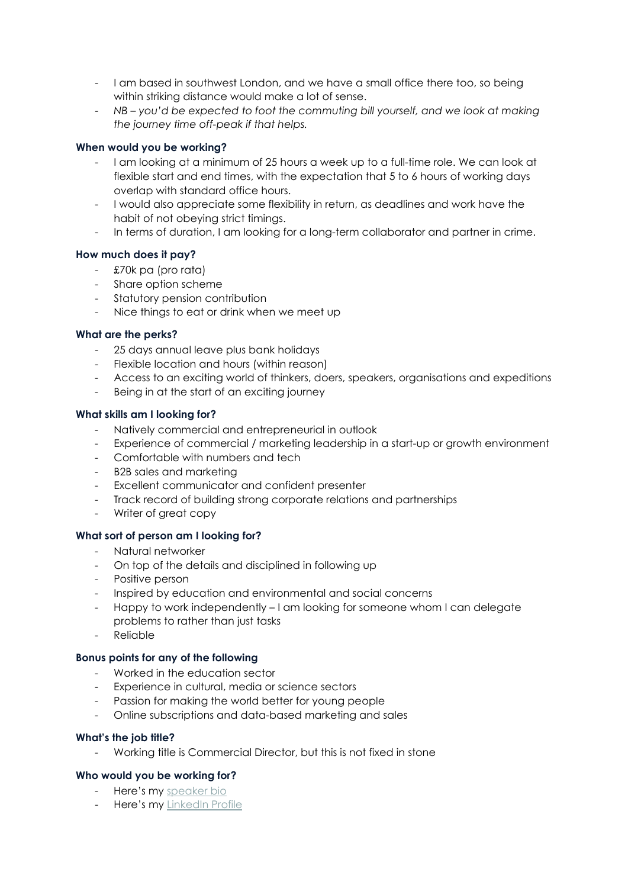- I am based in southwest London, and we have a small office there too, so being within striking distance would make a lot of sense.
- *NB – you'd be expected to foot the commuting bill yourself, and we look at making the journey time off-peak if that helps.*

## **When would you be working?**

- I am looking at a minimum of 25 hours a week up to a full-time role. We can look at flexible start and end times, with the expectation that 5 to 6 hours of working days overlap with standard office hours.
- I would also appreciate some flexibility in return, as deadlines and work have the habit of not obeying strict timings.
- In terms of duration, I am looking for a long-term collaborator and partner in crime.

## **How much does it pay?**

- £70k pa (pro rata)
- Share option scheme
- Statutory pension contribution
- Nice things to eat or drink when we meet up

## **What are the perks?**

- 25 days annual leave plus bank holidays
- Flexible location and hours (within reason)
- Access to an exciting world of thinkers, doers, speakers, organisations and expeditions
- Being in at the start of an exciting journey

## **What skills am I looking for?**

- Natively commercial and entrepreneurial in outlook
- Experience of commercial / marketing leadership in a start-up or growth environment
- Comfortable with numbers and tech
- B2B sales and marketing
- Excellent communicator and confident presenter
- Track record of building strong corporate relations and partnerships
- Writer of great copy

# **What sort of person am I looking for?**

- Natural networker
- On top of the details and disciplined in following up
- Positive person
- Inspired by education and environmental and social concerns
- Happy to work independently I am looking for someone whom I can delegate problems to rather than just tasks
- Reliable

#### **Bonus points for any of the following**

- Worked in the education sector
- Experience in cultural, media or science sectors
- Passion for making the world better for young people
- Online subscriptions and data-based marketing and sales

#### **What's the job title?**

- Working title is Commercial Director, but this is not fixed in stone

#### **Who would you be working for?**

- Here's my [speaker bio](https://docs.google.com/document/d/1JSM6RJ-Z0N0I1l4Lx6LXJR97OdD5wPxx/edit?usp=sharing&ouid=106863655679673860304&rtpof=true&sd=true)
- Here's my [LinkedIn Profile](https://www.linkedin.com/in/jamiebd/)